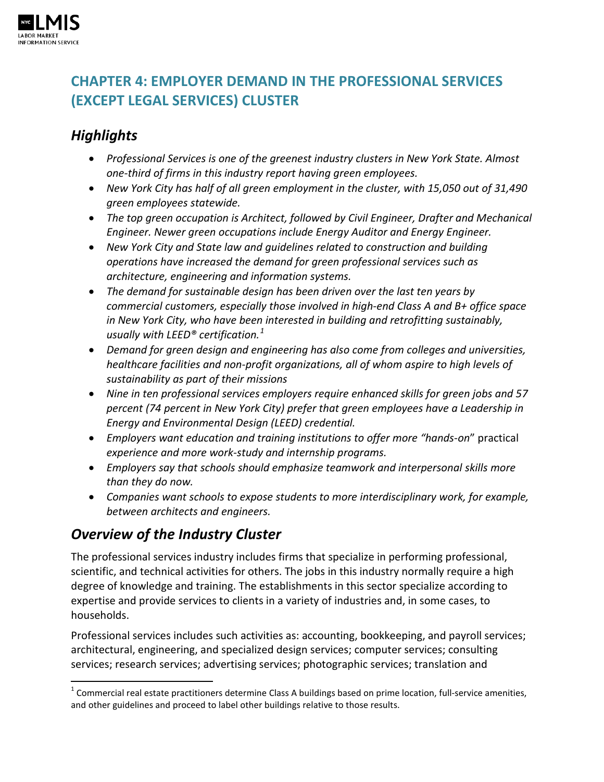

# **CHAPTER 4: EMPLOYER DEMAND IN THE PROFESSIONAL SERVICES (EXCEPT LEGAL SERVICES) CLUSTER**

# *Highlights*

- *Professional Services is one of the greenest industry clusters in New York State. Almost one-third of firms in this industry report having green employees.*
- *New York City has half of all green employment in the cluster, with 15,050 out of 31,490 green employees statewide.*
- *The top green occupation is Architect, followed by Civil Engineer, Drafter and Mechanical Engineer. Newer green occupations include Energy Auditor and Energy Engineer.*
- *New York City and State law and guidelines related to construction and building operations have increased the demand for green professional services such as architecture, engineering and information systems.*
- *The demand for sustainable design has been driven over the last ten years by commercial customers, especially those involved in high-end Class A and B+ office space in New York City, who have been interested in building and retrofitting sustainably, usually with LEED® certification.[1](#page-0-0)*
- *Demand for green design and engineering has also come from colleges and universities, healthcare facilities and non-profit organizations, all of whom aspire to high levels of sustainability as part of their missions*
- *Nine in ten professional services employers require enhanced skills for green jobs and 57 percent (74 percent in New York City) prefer that green employees have a Leadership in Energy and Environmental Design (LEED) credential.*
- *Employers want education and training institutions to offer more "hands*-*on*" practical *experience and more work-study and internship programs.*
- *Employers say that schools should emphasize teamwork and interpersonal skills more than they do now.*
- *Companies want schools to expose students to more interdisciplinary work, for example, between architects and engineers.*

# *Overview of the Industry Cluster*

The professional services industry includes firms that specialize in performing professional, scientific, and technical activities for others. The jobs in this industry normally require a high degree of knowledge and training. The establishments in this sector specialize according to expertise and provide services to clients in a variety of industries and, in some cases, to households.

Professional services includes such activities as: accounting, bookkeeping, and payroll services; architectural, engineering, and specialized design services; computer services; consulting services; research services; advertising services; photographic services; translation and

<span id="page-0-0"></span> $1$  Commercial real estate practitioners determine Class A buildings based on prime location, full-service amenities, and other guidelines and proceed to label other buildings relative to those results.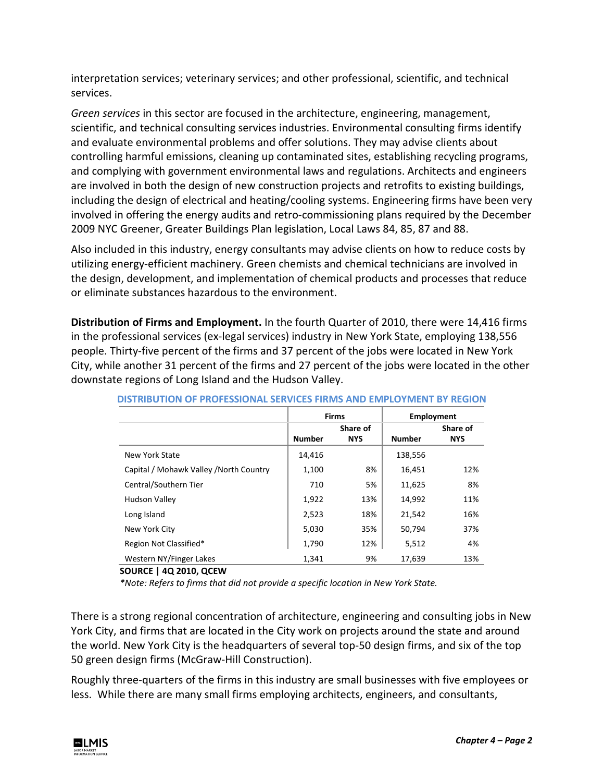interpretation services; veterinary services; and other professional, scientific, and technical services.

*Green services* in this sector are focused in the architecture, engineering, management, scientific, and technical consulting services industries. Environmental consulting firms identify and evaluate environmental problems and offer solutions. They may advise clients about controlling harmful emissions, cleaning up contaminated sites, establishing recycling programs, and complying with government environmental laws and regulations. Architects and engineers are involved in both the design of new construction projects and retrofits to existing buildings, including the design of electrical and heating/cooling systems. Engineering firms have been very involved in offering the energy audits and retro-commissioning plans required by the December 2009 NYC Greener, Greater Buildings Plan legislation, Local Laws 84, 85, 87 and 88.

Also included in this industry, energy consultants may advise clients on how to reduce costs by utilizing energy-efficient machinery. Green chemists and chemical technicians are involved in the design, development, and implementation of chemical products and processes that reduce or eliminate substances hazardous to the environment.

**Distribution of Firms and Employment.** In the fourth Quarter of 2010, there were 14,416 firms in the professional services (ex-legal services) industry in New York State, employing 138,556 people. Thirty-five percent of the firms and 37 percent of the jobs were located in New York City, while another 31 percent of the firms and 27 percent of the jobs were located in the other downstate regions of Long Island and the Hudson Valley.

|                                         |               | <b>Firms</b> | Employment    |            |
|-----------------------------------------|---------------|--------------|---------------|------------|
|                                         |               | Share of     |               | Share of   |
|                                         | <b>Number</b> | <b>NYS</b>   | <b>Number</b> | <b>NYS</b> |
| New York State                          | 14,416        |              | 138,556       |            |
| Capital / Mohawk Valley / North Country | 1,100         | 8%           | 16,451        | 12%        |
| Central/Southern Tier                   | 710           | 5%           | 11,625        | 8%         |
| <b>Hudson Valley</b>                    | 1,922         | 13%          | 14.992        | 11%        |
| Long Island                             | 2,523         | 18%          | 21,542        | 16%        |
| New York City                           | 5,030         | 35%          | 50,794        | 37%        |
| Region Not Classified*                  | 1,790         | 12%          | 5,512         | 4%         |
| Western NY/Finger Lakes                 | 1.341         | 9%           | 17.639        | 13%        |

| DISTRIBUTION OF PROFESSIONAL SERVICES FIRMS AND EMPLOYMENT BY REGION |  |
|----------------------------------------------------------------------|--|

**SOURCE | 4Q 2010, QCEW**

*\*Note: Refers to firms that did not provide a specific location in New York State.*

There is a strong regional concentration of architecture, engineering and consulting jobs in New York City, and firms that are located in the City work on projects around the state and around the world. New York City is the headquarters of several top-50 design firms, and six of the top 50 green design firms (McGraw-Hill Construction).

Roughly three-quarters of the firms in this industry are small businesses with five employees or less. While there are many small firms employing architects, engineers, and consultants,

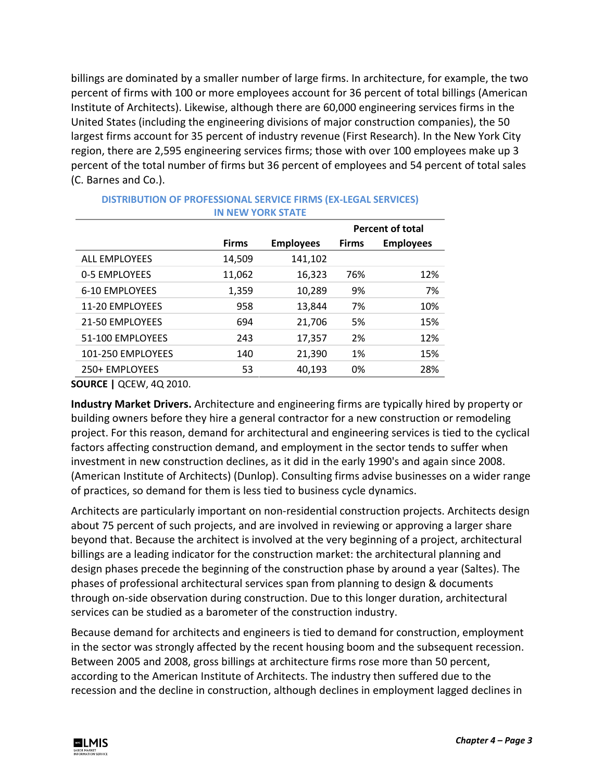billings are dominated by a smaller number of large firms. In architecture, for example, the two percent of firms with 100 or more employees account for 36 percent of total billings (American Institute of Architects). Likewise, although there are 60,000 engineering services firms in the United States (including the engineering divisions of major construction companies), the 50 largest firms account for 35 percent of industry revenue (First Research). In the New York City region, there are 2,595 engineering services firms; those with over 100 employees make up 3 percent of the total number of firms but 36 percent of employees and 54 percent of total sales (C. Barnes and Co.).

|                      |              |                  |              | <b>Percent of total</b> |  |  |  |
|----------------------|--------------|------------------|--------------|-------------------------|--|--|--|
|                      | <b>Firms</b> | <b>Employees</b> | <b>Firms</b> | <b>Employees</b>        |  |  |  |
| <b>ALL EMPLOYEES</b> | 14,509       | 141,102          |              |                         |  |  |  |
| 0-5 EMPLOYEES        | 11,062       | 16,323           | 76%          | 12%                     |  |  |  |
| 6-10 EMPLOYEES       | 1,359        | 10,289           | 9%           | 7%                      |  |  |  |
| 11-20 EMPLOYEES      | 958          | 13,844           | 7%           | 10%                     |  |  |  |
| 21-50 EMPLOYEES      | 694          | 21,706           | 5%           | 15%                     |  |  |  |
| 51-100 EMPLOYEES     | 243          | 17,357           | 2%           | 12%                     |  |  |  |
| 101-250 EMPLOYEES    | 140          | 21,390           | 1%           | 15%                     |  |  |  |
| 250+ EMPLOYEES       | 53           | 40,193           | 0%           | 28%                     |  |  |  |
|                      |              |                  |              |                         |  |  |  |

#### **DISTRIBUTION OF PROFESSIONAL SERVICE FIRMS (EX-LEGAL SERVICES) IN NEW YORK STATE**

**SOURCE |** QCEW, 4Q 2010.

**Industry Market Drivers.** Architecture and engineering firms are typically hired by property or building owners before they hire a general contractor for a new construction or remodeling project. For this reason, demand for architectural and engineering services is tied to the cyclical factors affecting construction demand, and employment in the sector tends to suffer when investment in new construction declines, as it did in the early 1990's and again since 2008. (American Institute of Architects) (Dunlop). Consulting firms advise businesses on a wider range of practices, so demand for them is less tied to business cycle dynamics.

Architects are particularly important on non-residential construction projects. Architects design about 75 percent of such projects, and are involved in reviewing or approving a larger share beyond that. Because the architect is involved at the very beginning of a project, architectural billings are a leading indicator for the construction market: the architectural planning and design phases precede the beginning of the construction phase by around a year (Saltes). The phases of professional architectural services span from planning to design & documents through on-side observation during construction. Due to this longer duration, architectural services can be studied as a barometer of the construction industry.

Because demand for architects and engineers is tied to demand for construction, employment in the sector was strongly affected by the recent housing boom and the subsequent recession. Between 2005 and 2008, gross billings at architecture firms rose more than 50 percent, according to the American Institute of Architects. The industry then suffered due to the recession and the decline in construction, although declines in employment lagged declines in

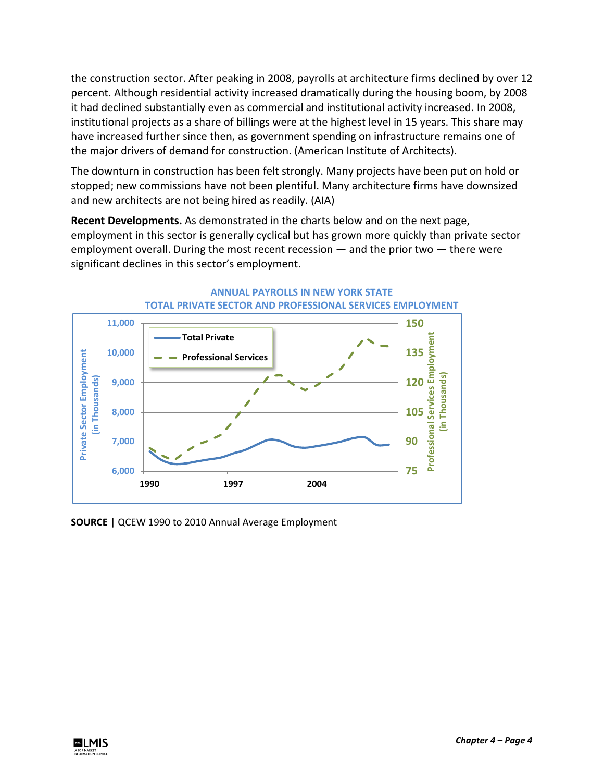the construction sector. After peaking in 2008, payrolls at architecture firms declined by over 12 percent. Although residential activity increased dramatically during the housing boom, by 2008 it had declined substantially even as commercial and institutional activity increased. In 2008, institutional projects as a share of billings were at the highest level in 15 years. This share may have increased further since then, as government spending on infrastructure remains one of the major drivers of demand for construction. (American Institute of Architects).

The downturn in construction has been felt strongly. Many projects have been put on hold or stopped; new commissions have not been plentiful. Many architecture firms have downsized and new architects are not being hired as readily. (AIA)

**Recent Developments.** As demonstrated in the charts below and on the next page, employment in this sector is generally cyclical but has grown more quickly than private sector employment overall. During the most recent recession — and the prior two — there were significant declines in this sector's employment.





**SOURCE |** QCEW 1990 to 2010 Annual Average Employment

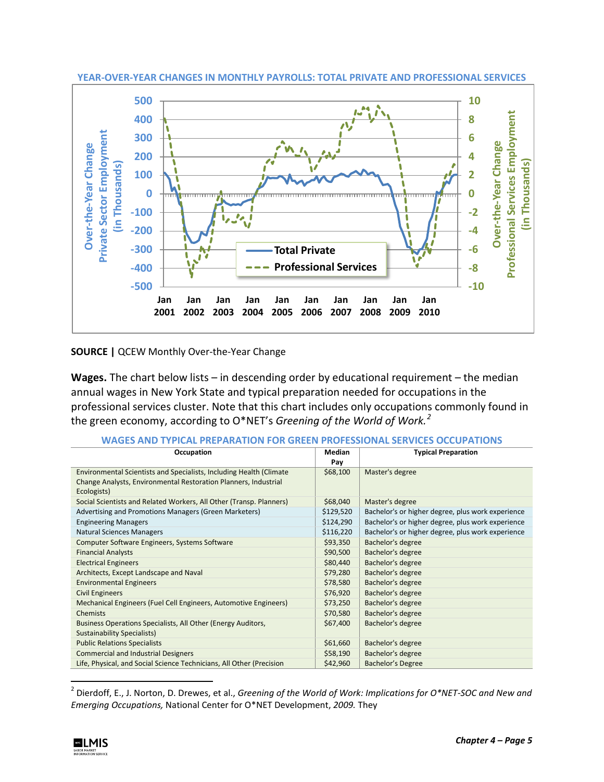

**YEAR-OVER-YEAR CHANGES IN MONTHLY PAYROLLS: TOTAL PRIVATE AND PROFESSIONAL SERVICES**

**SOURCE |** QCEW Monthly Over-the-Year Change

**Wages.** The chart below lists – in descending order by educational requirement – the median annual wages in New York State and typical preparation needed for occupations in the professional services cluster. Note that this chart includes only occupations commonly found in the green economy, according to O\*NET's *Greening of the World of Work.[2](#page-4-0)*

| WANLJAND IIF<br><b>FILEMINATION</b><br>ULLUF ATIVIIJ                 |               |                                                   |  |  |  |  |  |
|----------------------------------------------------------------------|---------------|---------------------------------------------------|--|--|--|--|--|
| Occupation                                                           | <b>Median</b> | <b>Typical Preparation</b>                        |  |  |  |  |  |
|                                                                      | Pay           |                                                   |  |  |  |  |  |
| Environmental Scientists and Specialists, Including Health (Climate  | \$68,100      | Master's degree                                   |  |  |  |  |  |
| Change Analysts, Environmental Restoration Planners, Industrial      |               |                                                   |  |  |  |  |  |
| Ecologists)                                                          |               |                                                   |  |  |  |  |  |
| Social Scientists and Related Workers, All Other (Transp. Planners)  | \$68,040      | Master's degree                                   |  |  |  |  |  |
| Advertising and Promotions Managers (Green Marketers)                | \$129,520     | Bachelor's or higher degree, plus work experience |  |  |  |  |  |
| <b>Engineering Managers</b>                                          | \$124,290     | Bachelor's or higher degree, plus work experience |  |  |  |  |  |
| <b>Natural Sciences Managers</b>                                     | \$116,220     | Bachelor's or higher degree, plus work experience |  |  |  |  |  |
| Computer Software Engineers, Systems Software                        | \$93,350      | Bachelor's degree                                 |  |  |  |  |  |
| <b>Financial Analysts</b>                                            | \$90,500      | Bachelor's degree                                 |  |  |  |  |  |
| <b>Electrical Engineers</b>                                          | \$80,440      | Bachelor's degree                                 |  |  |  |  |  |
| Architects, Except Landscape and Naval                               | \$79,280      | Bachelor's degree                                 |  |  |  |  |  |
| <b>Environmental Engineers</b>                                       | \$78,580      | Bachelor's degree                                 |  |  |  |  |  |
| <b>Civil Engineers</b>                                               | \$76,920      | Bachelor's degree                                 |  |  |  |  |  |
| Mechanical Engineers (Fuel Cell Engineers, Automotive Engineers)     | \$73,250      | Bachelor's degree                                 |  |  |  |  |  |
| <b>Chemists</b>                                                      | \$70,580      | Bachelor's degree                                 |  |  |  |  |  |
| Business Operations Specialists, All Other (Energy Auditors,         | \$67,400      | Bachelor's degree                                 |  |  |  |  |  |
| <b>Sustainability Specialists)</b>                                   |               |                                                   |  |  |  |  |  |
| <b>Public Relations Specialists</b>                                  | \$61,660      | Bachelor's degree                                 |  |  |  |  |  |
| <b>Commercial and Industrial Designers</b>                           | \$58,190      | Bachelor's degree                                 |  |  |  |  |  |
| Life, Physical, and Social Science Technicians, All Other (Precision | \$42,960      | Bachelor's Degree                                 |  |  |  |  |  |

**WAGES AND TYPICAL PREPARATION FOR GREEN PROFESSIONAL SERVICES OCCUPATIONS**

<span id="page-4-0"></span> <sup>2</sup> Dierdoff, E., J. Norton, D. Drewes, et al., *Greening of the World of Work: Implications for O\*NET-SOC and New and Emerging Occupations,* National Center for O\*NET Development, *2009.* They

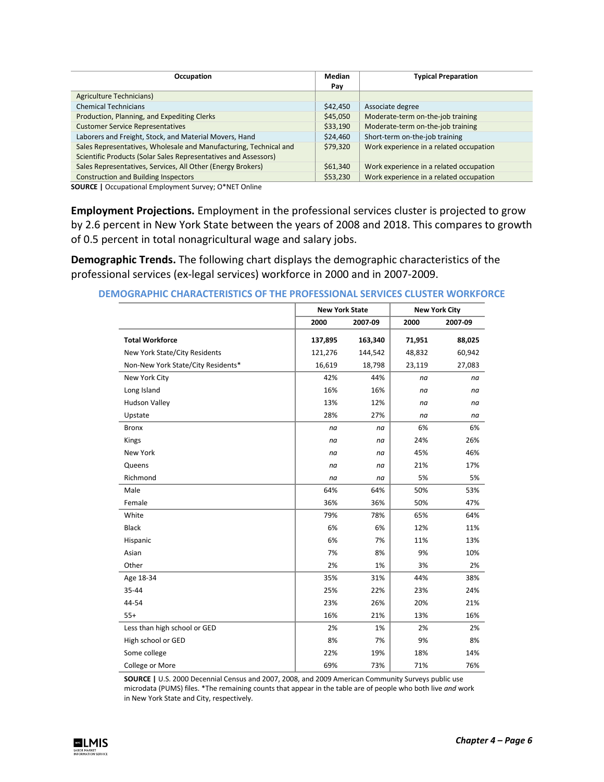| Occupation                                                        | <b>Median</b> | <b>Typical Preparation</b>              |  |  |
|-------------------------------------------------------------------|---------------|-----------------------------------------|--|--|
|                                                                   | Pay           |                                         |  |  |
| <b>Agriculture Technicians)</b>                                   |               |                                         |  |  |
| <b>Chemical Technicians</b>                                       | \$42,450      | Associate degree                        |  |  |
| Production, Planning, and Expediting Clerks                       | \$45,050      | Moderate-term on-the-job training       |  |  |
| <b>Customer Service Representatives</b>                           | \$33,190      | Moderate-term on-the-job training       |  |  |
| Laborers and Freight, Stock, and Material Movers, Hand            | \$24,460      | Short-term on-the-job training          |  |  |
| Sales Representatives, Wholesale and Manufacturing, Technical and | \$79,320      | Work experience in a related occupation |  |  |
| Scientific Products (Solar Sales Representatives and Assessors)   |               |                                         |  |  |
| Sales Representatives, Services, All Other (Energy Brokers)       | \$61,340      | Work experience in a related occupation |  |  |
| <b>Construction and Building Inspectors</b>                       | \$53,230      | Work experience in a related occupation |  |  |

**SOURCE |** Occupational Employment Survey; O\*NET Online

**Employment Projections.** Employment in the professional services cluster is projected to grow by 2.6 percent in New York State between the years of 2008 and 2018. This compares to growth of 0.5 percent in total nonagricultural wage and salary jobs.

**Demographic Trends.** The following chart displays the demographic characteristics of the professional services (ex-legal services) workforce in 2000 and in 2007-2009.

|                                    |         | <b>New York State</b> |        | <b>New York City</b> |
|------------------------------------|---------|-----------------------|--------|----------------------|
|                                    | 2000    | 2007-09               | 2000   | 2007-09              |
| <b>Total Workforce</b>             | 137,895 | 163,340               | 71,951 | 88,025               |
| New York State/City Residents      | 121,276 | 144,542               | 48,832 | 60,942               |
| Non-New York State/City Residents* | 16,619  | 18,798                | 23,119 | 27,083               |
| New York City                      | 42%     | 44%                   | na     | na                   |
| Long Island                        | 16%     | 16%                   | na     | na                   |
| <b>Hudson Valley</b>               | 13%     | 12%                   | na     | na                   |
| Upstate                            | 28%     | 27%                   | na     | na                   |
| <b>Bronx</b>                       | na      | na                    | 6%     | 6%                   |
| Kings                              | na      | na                    | 24%    | 26%                  |
| New York                           | na      | na                    | 45%    | 46%                  |
| Queens                             | na      | na                    | 21%    | 17%                  |
| Richmond                           | na      | na                    | 5%     | 5%                   |
| Male                               | 64%     | 64%                   | 50%    | 53%                  |
| Female                             | 36%     | 36%                   | 50%    | 47%                  |
| White                              | 79%     | 78%                   | 65%    | 64%                  |
| <b>Black</b>                       | 6%      | 6%                    | 12%    | 11%                  |
| Hispanic                           | 6%      | 7%                    | 11%    | 13%                  |
| Asian                              | 7%      | 8%                    | 9%     | 10%                  |
| Other                              | 2%      | 1%                    | 3%     | 2%                   |
| Age 18-34                          | 35%     | 31%                   | 44%    | 38%                  |
| 35-44                              | 25%     | 22%                   | 23%    | 24%                  |
| 44-54                              | 23%     | 26%                   | 20%    | 21%                  |
| $55+$                              | 16%     | 21%                   | 13%    | 16%                  |
| Less than high school or GED       | 2%      | 1%                    | 2%     | 2%                   |
| High school or GED                 | 8%      | 7%                    | 9%     | 8%                   |
| Some college                       | 22%     | 19%                   | 18%    | 14%                  |
| College or More                    | 69%     | 73%                   | 71%    | 76%                  |

**DEMOGRAPHIC CHARACTERISTICS OF THE PROFESSIONAL SERVICES CLUSTER WORKFORCE**

**SOURCE |** U.S. 2000 Decennial Census and 2007, 2008, and 2009 American Community Surveys public use microdata (PUMS) files. \*The remaining counts that appear in the table are of people who both live *and* work in New York State and City, respectively.

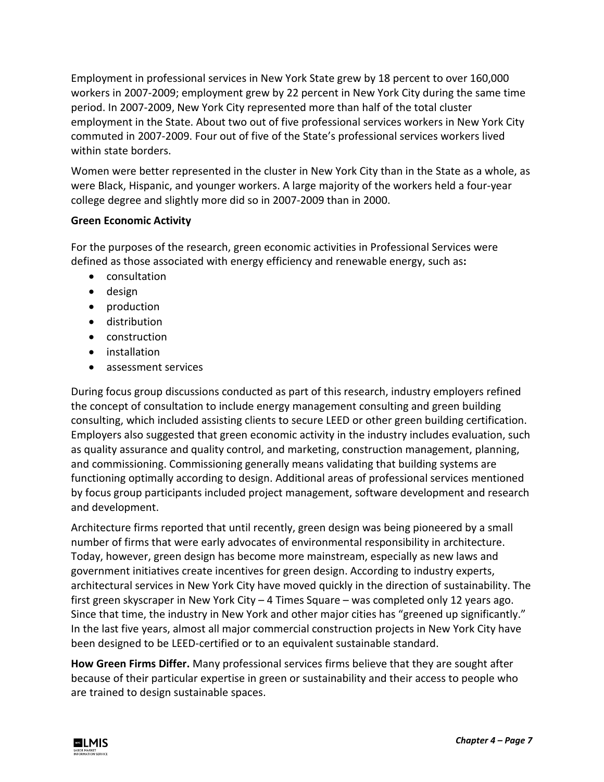Employment in professional services in New York State grew by 18 percent to over 160,000 workers in 2007-2009; employment grew by 22 percent in New York City during the same time period. In 2007-2009, New York City represented more than half of the total cluster employment in the State. About two out of five professional services workers in New York City commuted in 2007-2009. Four out of five of the State's professional services workers lived within state borders.

Women were better represented in the cluster in New York City than in the State as a whole, as were Black, Hispanic, and younger workers. A large majority of the workers held a four-year college degree and slightly more did so in 2007-2009 than in 2000.

### **Green Economic Activity**

For the purposes of the research, green economic activities in Professional Services were defined as those associated with energy efficiency and renewable energy, such as**:**

- consultation
- design
- production
- distribution
- construction
- installation
- assessment services

During focus group discussions conducted as part of this research, industry employers refined the concept of consultation to include energy management consulting and green building consulting, which included assisting clients to secure LEED or other green building certification. Employers also suggested that green economic activity in the industry includes evaluation, such as quality assurance and quality control, and marketing, construction management, planning, and commissioning. Commissioning generally means validating that building systems are functioning optimally according to design. Additional areas of professional services mentioned by focus group participants included project management, software development and research and development.

Architecture firms reported that until recently, green design was being pioneered by a small number of firms that were early advocates of environmental responsibility in architecture. Today, however, green design has become more mainstream, especially as new laws and government initiatives create incentives for green design. According to industry experts, architectural services in New York City have moved quickly in the direction of sustainability. The first green skyscraper in New York City – 4 Times Square – was completed only 12 years ago. Since that time, the industry in New York and other major cities has "greened up significantly." In the last five years, almost all major commercial construction projects in New York City have been designed to be LEED-certified or to an equivalent sustainable standard.

**How Green Firms Differ.** Many professional services firms believe that they are sought after because of their particular expertise in green or sustainability and their access to people who are trained to design sustainable spaces.

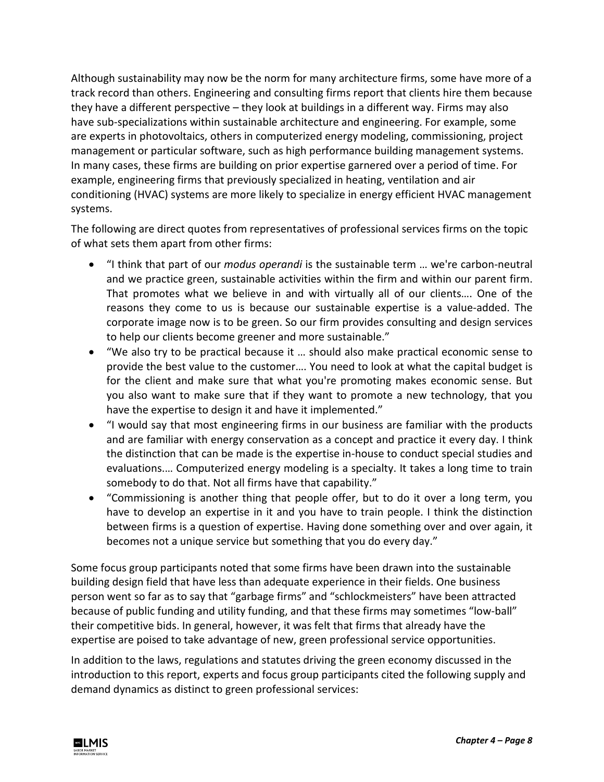Although sustainability may now be the norm for many architecture firms, some have more of a track record than others. Engineering and consulting firms report that clients hire them because they have a different perspective – they look at buildings in a different way. Firms may also have sub-specializations within sustainable architecture and engineering. For example, some are experts in photovoltaics, others in computerized energy modeling, commissioning, project management or particular software, such as high performance building management systems. In many cases, these firms are building on prior expertise garnered over a period of time. For example, engineering firms that previously specialized in heating, ventilation and air conditioning (HVAC) systems are more likely to specialize in energy efficient HVAC management systems.

The following are direct quotes from representatives of professional services firms on the topic of what sets them apart from other firms:

- "I think that part of our *modus operandi* is the sustainable term … we're carbon-neutral and we practice green, sustainable activities within the firm and within our parent firm. That promotes what we believe in and with virtually all of our clients…. One of the reasons they come to us is because our sustainable expertise is a value-added. The corporate image now is to be green. So our firm provides consulting and design services to help our clients become greener and more sustainable."
- "We also try to be practical because it … should also make practical economic sense to provide the best value to the customer…. You need to look at what the capital budget is for the client and make sure that what you're promoting makes economic sense. But you also want to make sure that if they want to promote a new technology, that you have the expertise to design it and have it implemented."
- "I would say that most engineering firms in our business are familiar with the products and are familiar with energy conservation as a concept and practice it every day. I think the distinction that can be made is the expertise in-house to conduct special studies and evaluations.… Computerized energy modeling is a specialty. It takes a long time to train somebody to do that. Not all firms have that capability."
- "Commissioning is another thing that people offer, but to do it over a long term, you have to develop an expertise in it and you have to train people. I think the distinction between firms is a question of expertise. Having done something over and over again, it becomes not a unique service but something that you do every day."

Some focus group participants noted that some firms have been drawn into the sustainable building design field that have less than adequate experience in their fields. One business person went so far as to say that "garbage firms" and "schlockmeisters" have been attracted because of public funding and utility funding, and that these firms may sometimes "low-ball" their competitive bids. In general, however, it was felt that firms that already have the expertise are poised to take advantage of new, green professional service opportunities.

In addition to the laws, regulations and statutes driving the green economy discussed in the introduction to this report, experts and focus group participants cited the following supply and demand dynamics as distinct to green professional services:

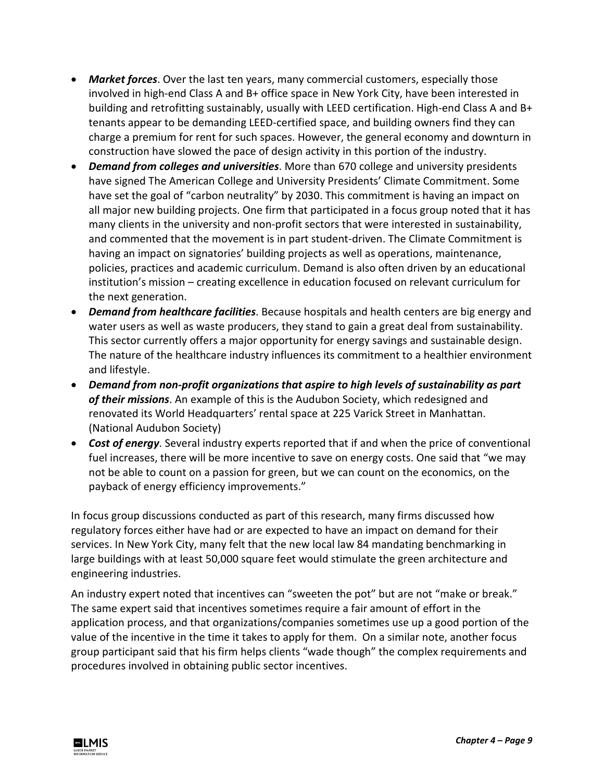- *Market forces*. Over the last ten years, many commercial customers, especially those involved in high-end Class A and B+ office space in New York City, have been interested in building and retrofitting sustainably, usually with LEED certification. High-end Class A and B+ tenants appear to be demanding LEED-certified space, and building owners find they can charge a premium for rent for such spaces. However, the general economy and downturn in construction have slowed the pace of design activity in this portion of the industry.
- *Demand from colleges and universities*. More than 670 college and university presidents have signed The American College and University Presidents' Climate Commitment. Some have set the goal of "carbon neutrality" by 2030. This commitment is having an impact on all major new building projects. One firm that participated in a focus group noted that it has many clients in the university and non-profit sectors that were interested in sustainability, and commented that the movement is in part student-driven. The Climate Commitment is having an impact on signatories' building projects as well as operations, maintenance, policies, practices and academic curriculum. Demand is also often driven by an educational institution's mission – creating excellence in education focused on relevant curriculum for the next generation.
- *Demand from healthcare facilities*. Because hospitals and health centers are big energy and water users as well as waste producers, they stand to gain a great deal from sustainability. This sector currently offers a major opportunity for energy savings and sustainable design. The nature of the healthcare industry influences its commitment to a healthier environment and lifestyle.
- *Demand from non-profit organizations that aspire to high levels of sustainability as part of their missions*. An example of this is the Audubon Society, which redesigned and renovated its World Headquarters' rental space at 225 Varick Street in Manhattan. (National Audubon Society)
- *Cost of energy*. Several industry experts reported that if and when the price of conventional fuel increases, there will be more incentive to save on energy costs. One said that "we may not be able to count on a passion for green, but we can count on the economics, on the payback of energy efficiency improvements."

In focus group discussions conducted as part of this research, many firms discussed how regulatory forces either have had or are expected to have an impact on demand for their services. In New York City, many felt that the new local law 84 mandating benchmarking in large buildings with at least 50,000 square feet would stimulate the green architecture and engineering industries.

An industry expert noted that incentives can "sweeten the pot" but are not "make or break." The same expert said that incentives sometimes require a fair amount of effort in the application process, and that organizations/companies sometimes use up a good portion of the value of the incentive in the time it takes to apply for them. On a similar note, another focus group participant said that his firm helps clients "wade though" the complex requirements and procedures involved in obtaining public sector incentives.

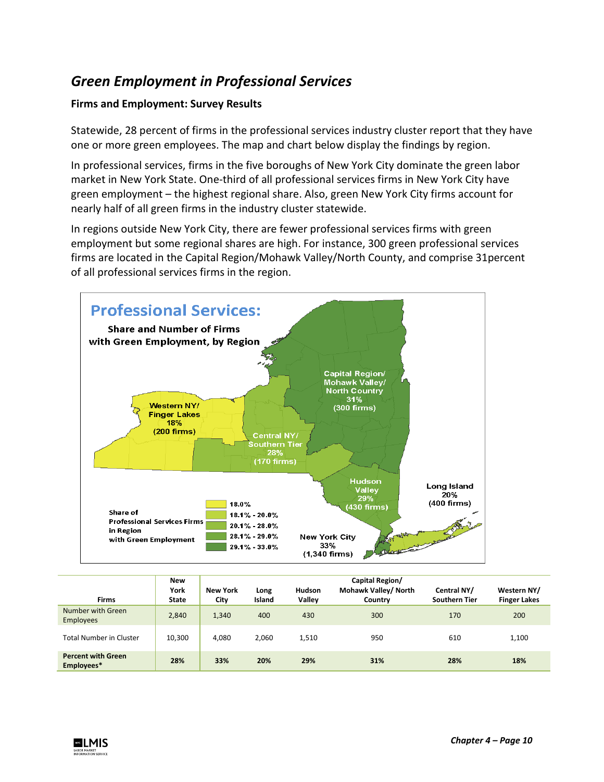## *Green Employment in Professional Services*

## **Firms and Employment: Survey Results**

Statewide, 28 percent of firms in the professional services industry cluster report that they have one or more green employees. The map and chart below display the findings by region.

In professional services, firms in the five boroughs of New York City dominate the green labor market in New York State. One-third of all professional services firms in New York City have green employment – the highest regional share. Also, green New York City firms account for nearly half of all green firms in the industry cluster statewide.

In regions outside New York City, there are fewer professional services firms with green employment but some regional shares are high. For instance, 300 green professional services firms are located in the Capital Region/Mohawk Valley/North County, and comprise 31percent of all professional services firms in the region.



| <b>Firms</b>                            | <b>New</b><br>York<br><b>State</b> | <b>New York</b><br>City | Long<br>Island | <b>Hudson</b><br>Valley | Capital Region/<br>Mohawk Valley/ North<br>Country | Central NY/<br><b>Southern Tier</b> | Western NY/<br><b>Finger Lakes</b> |
|-----------------------------------------|------------------------------------|-------------------------|----------------|-------------------------|----------------------------------------------------|-------------------------------------|------------------------------------|
| Number with Green<br><b>Employees</b>   | 2,840                              | 1,340                   | 400            | 430                     | 300                                                | 170                                 | 200                                |
| <b>Total Number in Cluster</b>          | 10,300                             | 4.080                   | 2,060          | 1,510                   | 950                                                | 610                                 | 1,100                              |
| <b>Percent with Green</b><br>Employees* | 28%                                | 33%                     | 20%            | 29%                     | 31%                                                | 28%                                 | 18%                                |

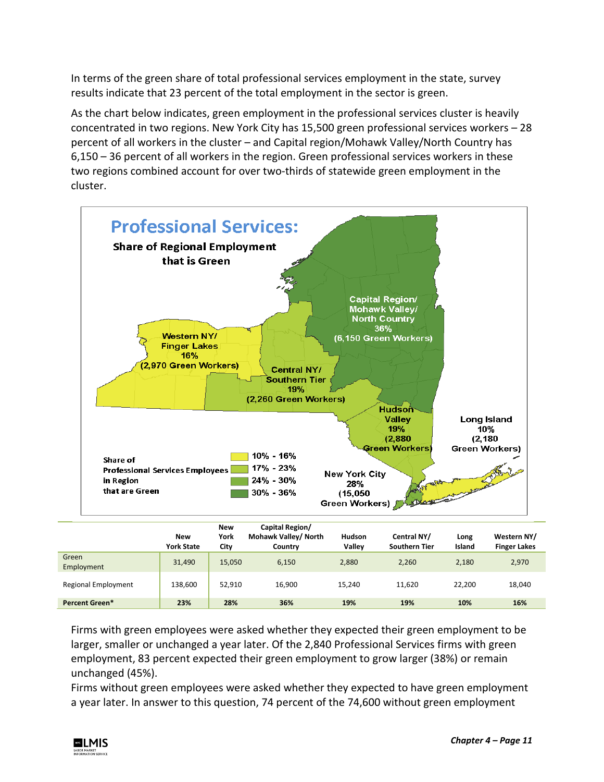In terms of the green share of total professional services employment in the state, survey results indicate that 23 percent of the total employment in the sector is green.

As the chart below indicates, green employment in the professional services cluster is heavily concentrated in two regions. New York City has 15,500 green professional services workers – 28 percent of all workers in the cluster – and Capital region/Mohawk Valley/North Country has 6,150 – 36 percent of all workers in the region. Green professional services workers in these two regions combined account for over two-thirds of statewide green employment in the cluster.



|                       | New<br><b>York State</b> | <b>New</b><br>York<br>City | Capital Region/<br>Mohawk Valley/ North<br>Country | Hudson<br>Vallev | Central NY/<br><b>Southern Tier</b> | Long<br>Island | Western NY/<br><b>Finger Lakes</b> |
|-----------------------|--------------------------|----------------------------|----------------------------------------------------|------------------|-------------------------------------|----------------|------------------------------------|
| Green<br>Employment   | 31,490                   | 15.050                     | 6,150                                              | 2,880            | 2.260                               | 2,180          | 2,970                              |
| Regional Employment   | 138,600                  | 52.910                     | 16,900                                             | 15.240           | 11.620                              | 22,200         | 18,040                             |
| <b>Percent Green*</b> | 23%                      | 28%                        | 36%                                                | 19%              | 19%                                 | 10%            | 16%                                |

Firms with green employees were asked whether they expected their green employment to be larger, smaller or unchanged a year later. Of the 2,840 Professional Services firms with green employment, 83 percent expected their green employment to grow larger (38%) or remain unchanged (45%).

Firms without green employees were asked whether they expected to have green employment a year later. In answer to this question, 74 percent of the 74,600 without green employment

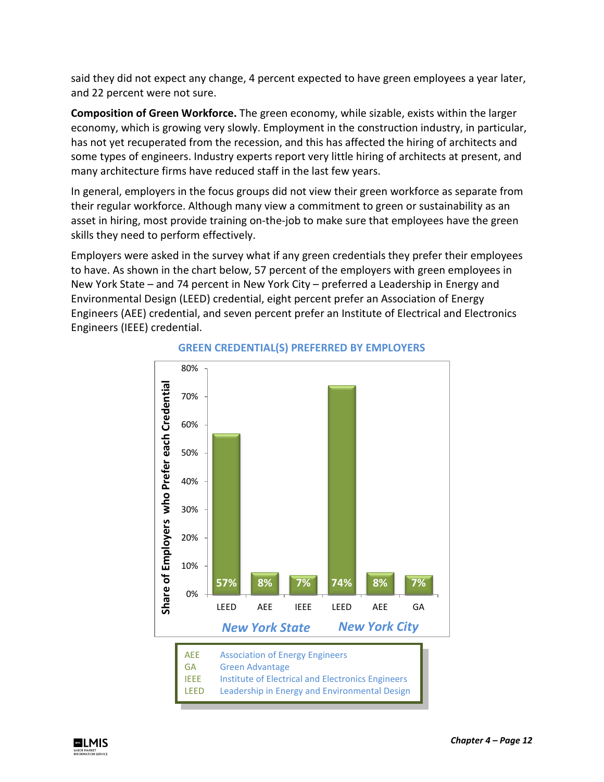said they did not expect any change, 4 percent expected to have green employees a year later, and 22 percent were not sure.

**Composition of Green Workforce.** The green economy, while sizable, exists within the larger economy, which is growing very slowly. Employment in the construction industry, in particular, has not yet recuperated from the recession, and this has affected the hiring of architects and some types of engineers. Industry experts report very little hiring of architects at present, and many architecture firms have reduced staff in the last few years.

In general, employers in the focus groups did not view their green workforce as separate from their regular workforce. Although many view a commitment to green or sustainability as an asset in hiring, most provide training on-the-job to make sure that employees have the green skills they need to perform effectively.

Employers were asked in the survey what if any green credentials they prefer their employees to have. As shown in the chart below, 57 percent of the employers with green employees in New York State – and 74 percent in New York City – preferred a Leadership in Energy and Environmental Design (LEED) credential, eight percent prefer an Association of Energy Engineers (AEE) credential, and seven percent prefer an Institute of Electrical and Electronics Engineers (IEEE) credential.



## **GREEN CREDENTIAL(S) PREFERRED BY EMPLOYERS**

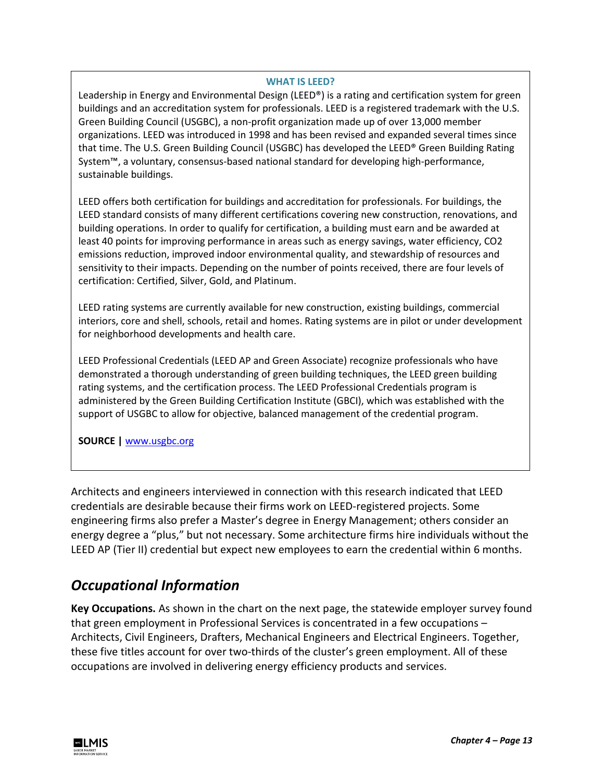#### **WHAT IS LEED?**

Leadership in Energy and Environmental Design (LEED®) is a rating and certification system for green buildings and an accreditation system for professionals. LEED is a registered trademark with the U.S. Green Building Council (USGBC), a non-profit organization made up of over 13,000 member organizations. LEED was introduced in 1998 and has been revised and expanded several times since that time. The U.S. Green Building Council (USGBC) has developed the LEED® Green Building Rating System™, a voluntary, consensus-based national standard for developing high-performance, sustainable buildings.

LEED offers both certification for buildings and accreditation for professionals. For buildings, the LEED standard consists of many different certifications covering new construction, renovations, and building operations. In order to qualify for certification, a building must earn and be awarded at least 40 points for improving performance in areas such as energy savings, water efficiency, CO2 emissions reduction, improved indoor environmental quality, and stewardship of resources and sensitivity to their impacts. Depending on the number of points received, there are four levels of certification: Certified, Silver, Gold, and Platinum.

LEED rating systems are currently available for new construction, existing buildings, commercial interiors, core and shell, schools, retail and homes. Rating systems are in pilot or under development for neighborhood developments and health care.

LEED Professional Credentials (LEED AP and Green Associate) recognize professionals who have demonstrated a thorough understanding of green building techniques, the LEED green building rating systems, and the certification process. The LEED Professional Credentials program is administered by the Green Building Certification Institute (GBCI), which was established with the support of USGBC to allow for objective, balanced management of the credential program.

**SOURCE |** [www.usgbc.org](http://www.usgbc.org/)

Architects and engineers interviewed in connection with this research indicated that LEED credentials are desirable because their firms work on LEED-registered projects. Some engineering firms also prefer a Master's degree in Energy Management; others consider an energy degree a "plus," but not necessary. Some architecture firms hire individuals without the LEED AP (Tier II) credential but expect new employees to earn the credential within 6 months.

## *Occupational Information*

**Key Occupations.** As shown in the chart on the next page, the statewide employer survey found that green employment in Professional Services is concentrated in a few occupations – Architects, Civil Engineers, Drafters, Mechanical Engineers and Electrical Engineers. Together, these five titles account for over two-thirds of the cluster's green employment. All of these occupations are involved in delivering energy efficiency products and services.

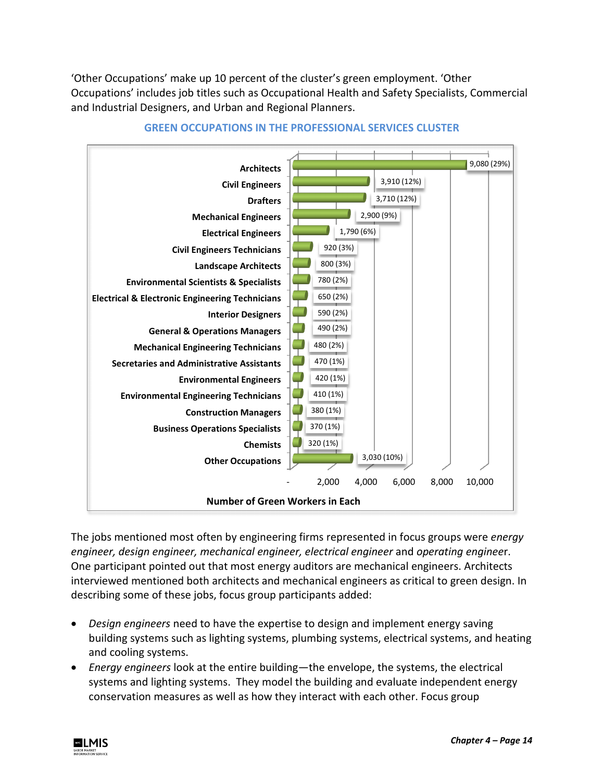'Other Occupations' make up 10 percent of the cluster's green employment. 'Other Occupations' includes job titles such as Occupational Health and Safety Specialists, Commercial and Industrial Designers, and Urban and Regional Planners.



#### **GREEN OCCUPATIONS IN THE PROFESSIONAL SERVICES CLUSTER**

The jobs mentioned most often by engineering firms represented in focus groups were *energy engineer, design engineer, mechanical engineer, electrical engineer* and *operating enginee*r. One participant pointed out that most energy auditors are mechanical engineers. Architects interviewed mentioned both architects and mechanical engineers as critical to green design. In describing some of these jobs, focus group participants added:

- *Design engineers* need to have the expertise to design and implement energy saving building systems such as lighting systems, plumbing systems, electrical systems, and heating and cooling systems.
- *Energy engineers* look at the entire building—the envelope, the systems, the electrical systems and lighting systems. They model the building and evaluate independent energy conservation measures as well as how they interact with each other. Focus group

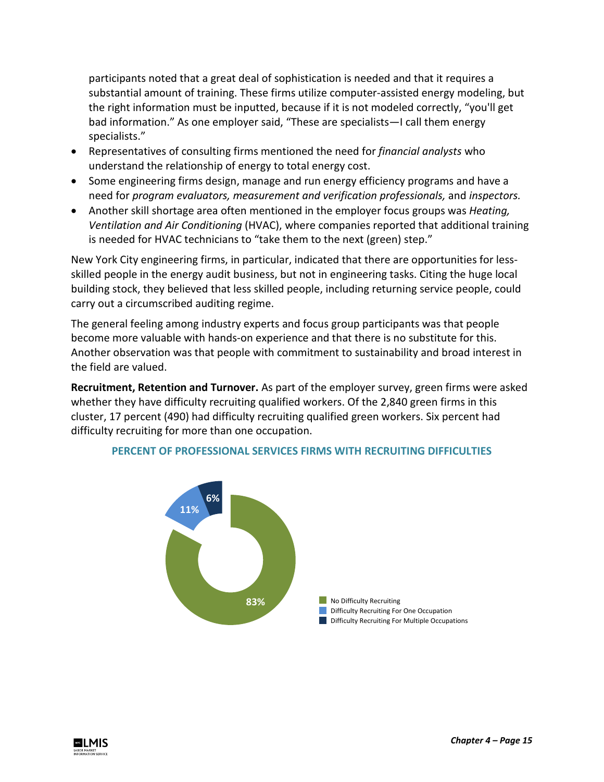participants noted that a great deal of sophistication is needed and that it requires a substantial amount of training. These firms utilize computer-assisted energy modeling, but the right information must be inputted, because if it is not modeled correctly, "you'll get bad information." As one employer said, "These are specialists—I call them energy specialists."

- Representatives of consulting firms mentioned the need for *financial analysts* who understand the relationship of energy to total energy cost.
- Some engineering firms design, manage and run energy efficiency programs and have a need for *program evaluators, measurement and verification professionals,* and *inspectors.*
- Another skill shortage area often mentioned in the employer focus groups was *Heating, Ventilation and Air Conditioning* (HVAC), where companies reported that additional training is needed for HVAC technicians to "take them to the next (green) step."

New York City engineering firms, in particular, indicated that there are opportunities for lessskilled people in the energy audit business, but not in engineering tasks. Citing the huge local building stock, they believed that less skilled people, including returning service people, could carry out a circumscribed auditing regime.

The general feeling among industry experts and focus group participants was that people become more valuable with hands-on experience and that there is no substitute for this. Another observation was that people with commitment to sustainability and broad interest in the field are valued.

**Recruitment, Retention and Turnover.** As part of the employer survey, green firms were asked whether they have difficulty recruiting qualified workers. Of the 2,840 green firms in this cluster, 17 percent (490) had difficulty recruiting qualified green workers. Six percent had difficulty recruiting for more than one occupation.



#### **PERCENT OF PROFESSIONAL SERVICES FIRMS WITH RECRUITING DIFFICULTIES**

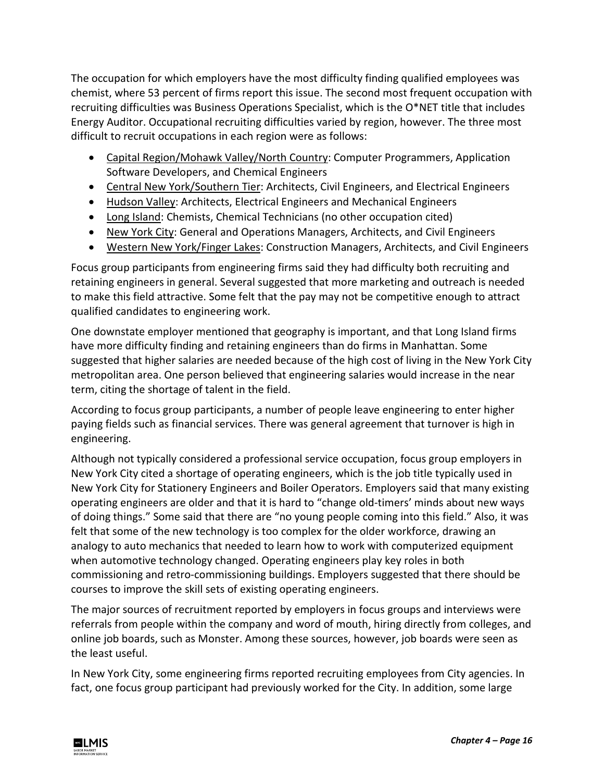The occupation for which employers have the most difficulty finding qualified employees was chemist, where 53 percent of firms report this issue. The second most frequent occupation with recruiting difficulties was Business Operations Specialist, which is the O\*NET title that includes Energy Auditor. Occupational recruiting difficulties varied by region, however. The three most difficult to recruit occupations in each region were as follows:

- Capital Region/Mohawk Valley/North Country: Computer Programmers, Application Software Developers, and Chemical Engineers
- Central New York/Southern Tier: Architects, Civil Engineers, and Electrical Engineers
- Hudson Valley: Architects, Electrical Engineers and Mechanical Engineers
- Long Island: Chemists, Chemical Technicians (no other occupation cited)
- New York City: General and Operations Managers, Architects, and Civil Engineers
- Western New York/Finger Lakes: Construction Managers, Architects, and Civil Engineers

Focus group participants from engineering firms said they had difficulty both recruiting and retaining engineers in general. Several suggested that more marketing and outreach is needed to make this field attractive. Some felt that the pay may not be competitive enough to attract qualified candidates to engineering work.

One downstate employer mentioned that geography is important, and that Long Island firms have more difficulty finding and retaining engineers than do firms in Manhattan. Some suggested that higher salaries are needed because of the high cost of living in the New York City metropolitan area. One person believed that engineering salaries would increase in the near term, citing the shortage of talent in the field.

According to focus group participants, a number of people leave engineering to enter higher paying fields such as financial services. There was general agreement that turnover is high in engineering.

Although not typically considered a professional service occupation, focus group employers in New York City cited a shortage of operating engineers, which is the job title typically used in New York City for Stationery Engineers and Boiler Operators. Employers said that many existing operating engineers are older and that it is hard to "change old-timers' minds about new ways of doing things." Some said that there are "no young people coming into this field." Also, it was felt that some of the new technology is too complex for the older workforce, drawing an analogy to auto mechanics that needed to learn how to work with computerized equipment when automotive technology changed. Operating engineers play key roles in both commissioning and retro-commissioning buildings. Employers suggested that there should be courses to improve the skill sets of existing operating engineers.

The major sources of recruitment reported by employers in focus groups and interviews were referrals from people within the company and word of mouth, hiring directly from colleges, and online job boards, such as Monster. Among these sources, however, job boards were seen as the least useful.

In New York City, some engineering firms reported recruiting employees from City agencies. In fact, one focus group participant had previously worked for the City. In addition, some large

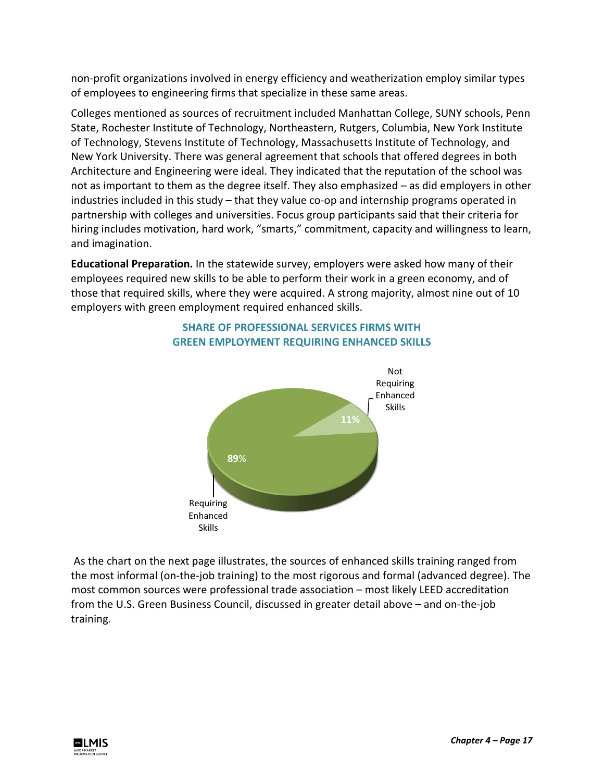non-profit organizations involved in energy efficiency and weatherization employ similar types of employees to engineering firms that specialize in these same areas.

Colleges mentioned as sources of recruitment included Manhattan College, SUNY schools, Penn State, Rochester Institute of Technology, Northeastern, Rutgers, Columbia, New York Institute of Technology, Stevens Institute of Technology, Massachusetts Institute of Technology, and New York University. There was general agreement that schools that offered degrees in both Architecture and Engineering were ideal. They indicated that the reputation of the school was not as important to them as the degree itself. They also emphasized – as did employers in other industries included in this study – that they value co-op and internship programs operated in partnership with colleges and universities. Focus group participants said that their criteria for hiring includes motivation, hard work, "smarts," commitment, capacity and willingness to learn, and imagination.

**Educational Preparation.** In the statewide survey, employers were asked how many of their employees required new skills to be able to perform their work in a green economy, and of those that required skills, where they were acquired. A strong majority, almost nine out of 10 employers with green employment required enhanced skills.



## **SHARE OF PROFESSIONAL SERVICES FIRMS WITH GREEN EMPLOYMENT REQUIRING ENHANCED SKILLS**

As the chart on the next page illustrates, the sources of enhanced skills training ranged from the most informal (on-the-job training) to the most rigorous and formal (advanced degree). The most common sources were professional trade association – most likely LEED accreditation from the U.S. Green Business Council, discussed in greater detail above – and on-the-job training.

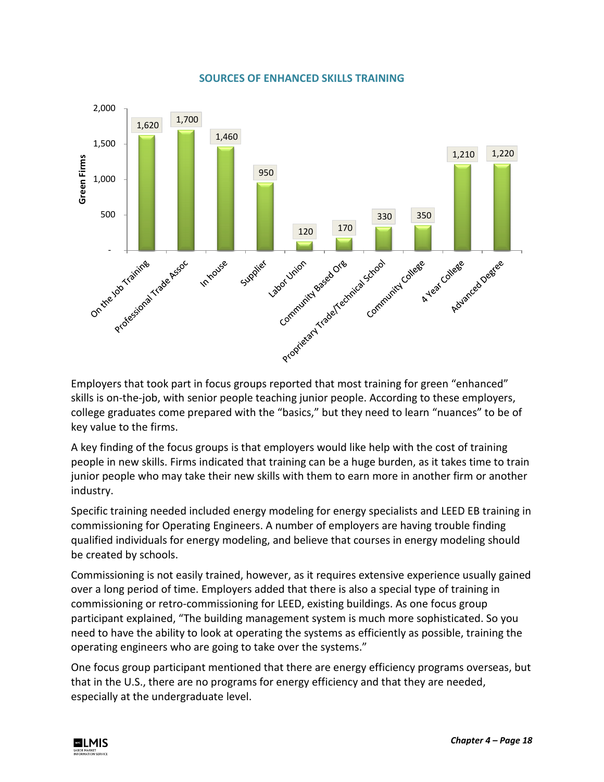#### **SOURCES OF ENHANCED SKILLS TRAINING**



Employers that took part in focus groups reported that most training for green "enhanced" skills is on-the-job, with senior people teaching junior people. According to these employers, college graduates come prepared with the "basics," but they need to learn "nuances" to be of key value to the firms.

A key finding of the focus groups is that employers would like help with the cost of training people in new skills. Firms indicated that training can be a huge burden, as it takes time to train junior people who may take their new skills with them to earn more in another firm or another industry.

Specific training needed included energy modeling for energy specialists and LEED EB training in commissioning for Operating Engineers. A number of employers are having trouble finding qualified individuals for energy modeling, and believe that courses in energy modeling should be created by schools.

Commissioning is not easily trained, however, as it requires extensive experience usually gained over a long period of time. Employers added that there is also a special type of training in commissioning or retro-commissioning for LEED, existing buildings. As one focus group participant explained, "The building management system is much more sophisticated. So you need to have the ability to look at operating the systems as efficiently as possible, training the operating engineers who are going to take over the systems."

One focus group participant mentioned that there are energy efficiency programs overseas, but that in the U.S., there are no programs for energy efficiency and that they are needed, especially at the undergraduate level.